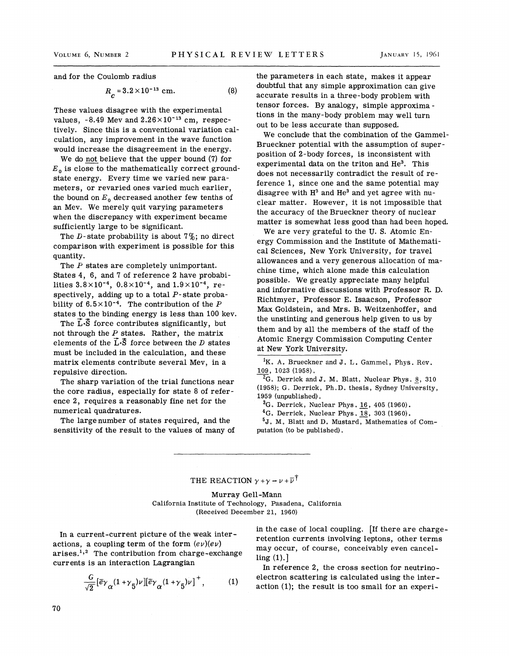and for the Coulomb radius

$$
R_c = 3.2 \times 10^{-13} \text{ cm.}
$$
 (8)

These values disagree with the experimental values,  $-8.49$  Mev and  $2.26 \times 10^{-13}$  cm, respectively. Since this is a conventional variation calculation, any improvement in the wave function would increase the disagreement in the energy.

We do not believe that the upper bound (7) for  $E<sub>0</sub>$  is close to the mathematically correct groundstate energy. Every time we varied new parameters, or revaried ones varied much earlier the bound on  $E_0$  decreased another few tenths of an Mev. We merely quit varying parameters when the discrepancy with experiment became sufficiently large to be significant.

The D-state probability is about  $7\%$ ; no direct comparison with experiment is possible for this quantity.

The *P* states are completely unimportant. States 4, 6, and 7 of reference 2 have probabilities  $3.8 \times 10^{-4}$ ,  $0.8 \times 10^{-4}$ , and  $1.9 \times 10^{-4}$ , respectively, adding up to a total  $P$ -state probability of  $6.5 \times 10^{-4}$ . The contribution of the P states to the binding energy is less than 100 kev.

The  $\vec{L}\cdot\vec{S}$  force contributes significantly, but not through the  $P$  states. Rather, the matrix elements of the  $\vec{L}\cdot\vec{S}$  force between the D states must be included in the calculation, and these matrix elements contribute several Mev, in a repulsive direction.

The sharp variation of the trial functions near the core radius, especially for state 8 of reference 2, requires a reasonably fine net for the numerical quadratures.

The large number of states required, and the sensitivity of the result to the values of many of the parameters in each state, makes it appear doubtful that any simple approximation can give accurate results in a three-body problem with tensor forces. By analogy, simple approxima tions in the many-body problem may well turn out to be less accurate than supposed.

We conclude that the combination of the Gammel-Brueckner potential with the assumption of superposition of 2-body forces, is inconsistent with experimental data on the triton and He<sup>3</sup>. This does not necessarily contradict the result of reference 1, since one and the same potential may disagree with  $H<sup>3</sup>$  and  $He<sup>3</sup>$  and yet agree with nuclear matter. However, it is not impossible that the accuracy of the Brueckner theory of nuclear matter is somewhat less good than had been hoped.

We are very grateful to the U. S. Atomic Energy Commission and the Institute of Mathematical Sciences, New York University, for travel allowances and a very generous allocation of machine time, which alone made this calculation possible. We greatly appreciate many helpful and informative discussions with Professor R. D. Richtmyer, Professor E. Isaacson, Professor Max Goldstein, and Mrs. B. Weitzenhoffer, and the unstinting and generous help given to us by them and by all the members of the staff of the Atomic Energy Commission Computing Center at New York University.

<sup>1</sup>K. A. Brueckner and J. L. Gammel, Phys. Rev. 109, 1023 (1958).

 ${}^{2}G.$  Derrick and J. M. Blatt, Nuclear Phys. 8, 310 (1958); G. Derrick, Ph.D. thesis, Sydney University, 1959 (unpublished). ' *:a.* Derrick, Nuclear Phys. 16, 405 (1960).

 $4G.$  Derrick, Nuclear Phys. 18, 303 (1960).

<sup>5</sup>J. M. Blatt and D. Mustard, Mathematics of Computation (to be published).

THE REACTION  $\gamma + \gamma - \nu + \overline{\nu}^{\dagger}$ 

Murray Gell-Mann California Institute of Technology, Pasadena, California (Received December 21, 1960)

In a current-current picture of the weak interactions, a coupling term of the form  $(e\nu)(e\nu)$  $arises.<sup>1,2</sup>$  The contribution from charge-exchange currents is an interaction Lagrangian

$$
\frac{G}{\sqrt{2}} [\bar{e}\gamma_{\alpha} (1+\gamma_{5})\nu][\bar{e}\gamma_{\alpha} (1+\gamma_{5})\nu]^+, \qquad (1)
$$

in the case of local coupling. [If there are chargeretention currents involving leptons, other terms may occur, of course, conceivably even cancelling (1).]

In reference 2, the cross section for neutrinoelectron scattering is calculated using the interaction (1); the result is too small for an experi